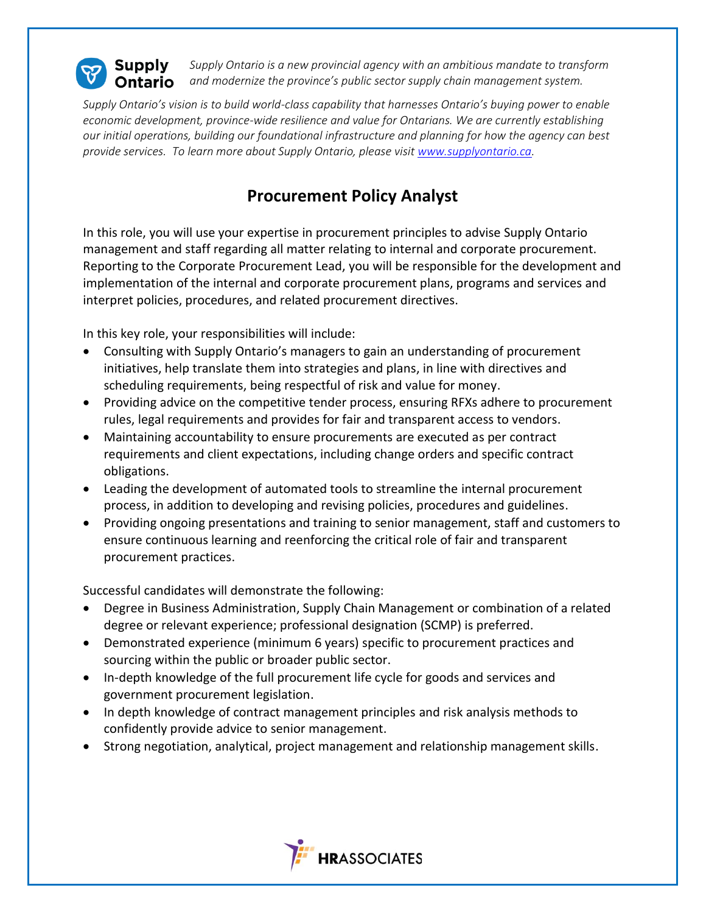

*Supply Ontario is a new provincial agency with an ambitious mandate to transform and modernize the province's public sector supply chain management system.*

*Supply Ontario's vision is to build world-class capability that harnesses Ontario's buying power to enable economic development, province-wide resilience and value for Ontarians. We are currently establishing our initial operations, building our foundational infrastructure and planning for how the agency can best provide services. To learn more about Supply Ontario, please visit [www.supplyontario.ca.](http://www.supplyontario.ca/)* 

## **Procurement Policy Analyst**

In this role, you will use your expertise in procurement principles to advise Supply Ontario management and staff regarding all matter relating to internal and corporate procurement. Reporting to the Corporate Procurement Lead, you will be responsible for the development and implementation of the internal and corporate procurement plans, programs and services and interpret policies, procedures, and related procurement directives.

In this key role, your responsibilities will include:

- Consulting with Supply Ontario's managers to gain an understanding of procurement initiatives, help translate them into strategies and plans, in line with directives and scheduling requirements, being respectful of risk and value for money.
- Providing advice on the competitive tender process, ensuring RFXs adhere to procurement rules, legal requirements and provides for fair and transparent access to vendors.
- Maintaining accountability to ensure procurements are executed as per contract requirements and client expectations, including change orders and specific contract obligations.
- Leading the development of automated tools to streamline the internal procurement process, in addition to developing and revising policies, procedures and guidelines.
- Providing ongoing presentations and training to senior management, staff and customers to ensure continuous learning and reenforcing the critical role of fair and transparent procurement practices.

Successful candidates will demonstrate the following:

- Degree in Business Administration, Supply Chain Management or combination of a related degree or relevant experience; professional designation (SCMP) is preferred.
- Demonstrated experience (minimum 6 years) specific to procurement practices and sourcing within the public or broader public sector.
- In-depth knowledge of the full procurement life cycle for goods and services and government procurement legislation.
- In depth knowledge of contract management principles and risk analysis methods to confidently provide advice to senior management.
- Strong negotiation, analytical, project management and relationship management skills.